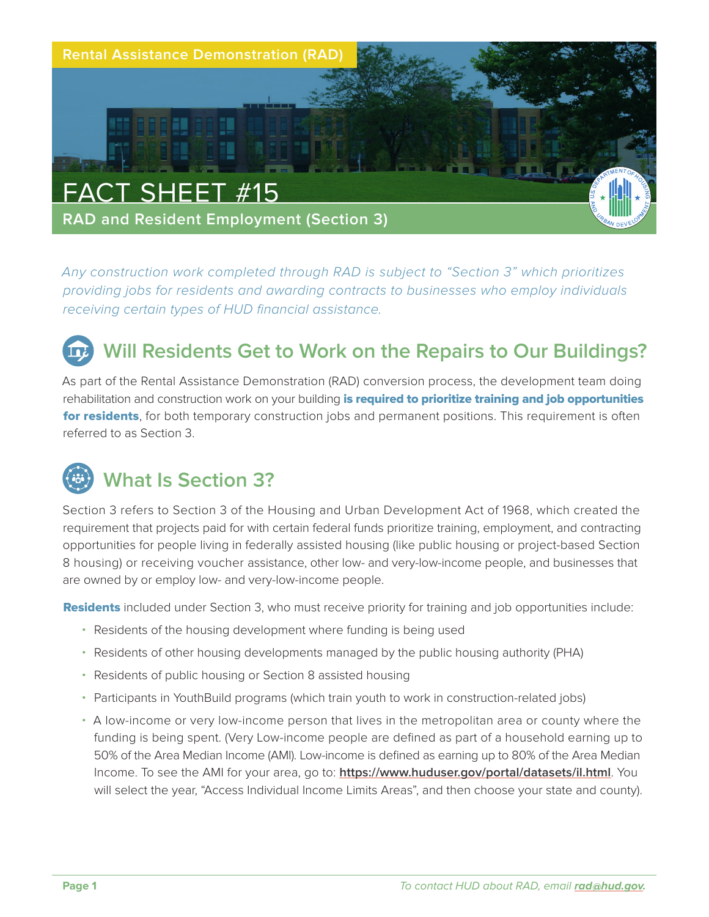

*Any construction work completed through RAD is subject to "Section 3" which prioritizes providing jobs for residents and awarding contracts to businesses who employ individuals receiving certain types of HUD financial assistance.*

## **Will Residents Get to Work on the Repairs to Our Buildings?**

As part of the Rental Assistance Demonstration (RAD) conversion process, the development team doing rehabilitation and construction work on your building is required to prioritize training and job opportunities for residents, for both temporary construction jobs and permanent positions. This requirement is often referred to as Section 3.

## **What Is Section 3?**

Section 3 refers to Section 3 of the Housing and Urban Development Act of 1968, which created the requirement that projects paid for with certain federal funds prioritize training, employment, and contracting opportunities for people living in federally assisted housing (like public housing or project-based Section 8 housing) or receiving voucher assistance, other low- and very-low-income people, and businesses that are owned by or employ low- and very-low-income people.

**Residents** included under Section 3, who must receive priority for training and job opportunities include:

- Residents of the housing development where funding is being used
- Residents of other housing developments managed by the public housing authority (PHA)
- Residents of public housing or Section 8 assisted housing
- Participants in YouthBuild programs (which train youth to work in construction-related jobs)
- A low-income or very low-income person that lives in the metropolitan area or county where the funding is being spent. (Very Low-income people are defined as part of a household earning up to 50% of the Area Median Income (AMI). Low-income is defined as earning up to 80% of the Area Median Income. To see the AMI for your area, go to: **<https://www.huduser.gov/portal/datasets/il.html>**. You will select the year, "Access Individual Income Limits Areas", and then choose your state and county).